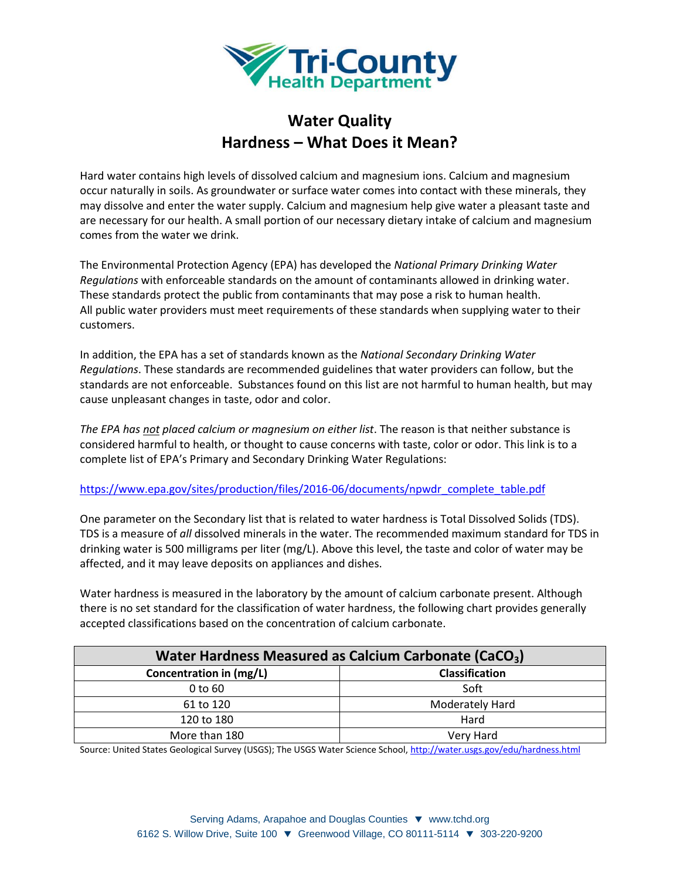

## **Water Quality Hardness – What Does it Mean?**

Hard water contains high levels of dissolved calcium and magnesium ions. Calcium and magnesium occur naturally in soils. As groundwater or surface water comes into contact with these minerals, they may dissolve and enter the water supply. Calcium and magnesium help give water a pleasant taste and are necessary for our health. A small portion of our necessary dietary intake of calcium and magnesium comes from the water we drink.

The Environmental Protection Agency (EPA) has developed the *National Primary Drinking Water Regulations* with enforceable standards on the amount of contaminants allowed in drinking water. These standards protect the public from contaminants that may pose a risk to human health. All public water providers must meet requirements of these standards when supplying water to their customers.

In addition, the EPA has a set of standards known as the *National Secondary Drinking Water Regulations*. These standards are recommended guidelines that water providers can follow, but the standards are not enforceable. Substances found on this list are not harmful to human health, but may cause unpleasant changes in taste, odor and color.

*The EPA has not placed calcium or magnesium on either list*. The reason is that neither substance is considered harmful to health, or thought to cause concerns with taste, color or odor. This link is to a complete list of EPA's Primary and Secondary Drinking Water Regulations:

## [https://www.epa.gov/sites/production/files/2016-06/documents/npwdr\\_complete\\_table.pdf](https://www.epa.gov/sites/production/files/2016-06/documents/npwdr_complete_table.pdf)

One parameter on the Secondary list that is related to water hardness is Total Dissolved Solids (TDS). TDS is a measure of *all* dissolved minerals in the water. The recommended maximum standard for TDS in drinking water is 500 milligrams per liter (mg/L). Above this level, the taste and color of water may be affected, and it may leave deposits on appliances and dishes.

Water hardness is measured in the laboratory by the amount of calcium carbonate present. Although there is no set standard for the classification of water hardness, the following chart provides generally accepted classifications based on the concentration of calcium carbonate.

| Water Hardness Measured as Calcium Carbonate (CaCO <sub>3</sub> ) |                        |
|-------------------------------------------------------------------|------------------------|
| Concentration in (mg/L)                                           | <b>Classification</b>  |
| 0 to 60                                                           | Soft                   |
| 61 to 120                                                         | <b>Moderately Hard</b> |
| 120 to 180                                                        | Hard                   |
| More than 180                                                     | Very Hard              |

Source: United States Geological Survey (USGS); The USGS Water Science School, http://water.usgs.gov/edu/hardness.html